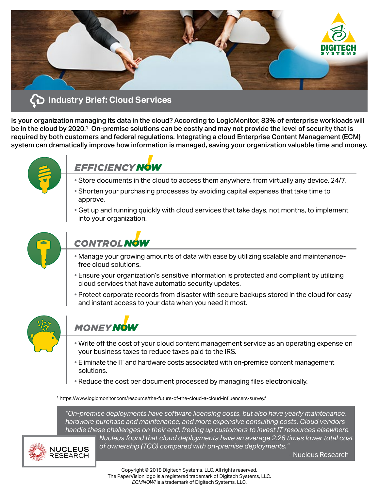

Is your organization managing its data in the cloud? According to LogicMonitor, 83% of enterprise workloads will be in the cloud by 2020.<sup>1</sup> On-premise solutions can be costly and may not provide the level of security that is required by both customers and federal regulations. Integrating a cloud Enterprise Content Management (ECM) system can dramatically improve how information is managed, saving your organization valuable time and money.



## **EFFICIENCY NOW**

- Store documents in the cloud to access them anywhere, from virtually any device, 24/7.
- Shorten your purchasing processes by avoiding capital expenses that take time to approve.
- Get up and running quickly with cloud services that take days, not months, to implement into your organization.



# **CONTROL NOW**

- Manage your growing amounts of data with ease by utilizing scalable and maintenancefree cloud solutions.
- Ensure your organization's sensitive information is protected and compliant by utilizing cloud services that have automatic security updates.
- Protect corporate records from disaster with secure backups stored in the cloud for easy and instant access to your data when you need it most.



## **MONEY NOW**

- Write off the cost of your cloud content management service as an operating expense on your business taxes to reduce taxes paid to the IRS.
- Eliminate the IT and hardware costs associated with on-premise content management solutions.
- Reduce the cost per document processed by managing files electronically.

1. https://www.logicmonitor.com/resource/the-future-of-the-cloud-a-cloud-influencers-survey/

*"On-premise deployments have software licensing costs, but also have yearly maintenance, hardware purchase and maintenance, and more expensive consulting costs. Cloud vendors handle these challenges on their end, freeing up customers to invest IT resources elsewhere.* 



*Nucleus found that cloud deployments have an average 2.26 times lower total cost of ownership (TCO) compared with on-premise deployments."*

- Nucleus Research